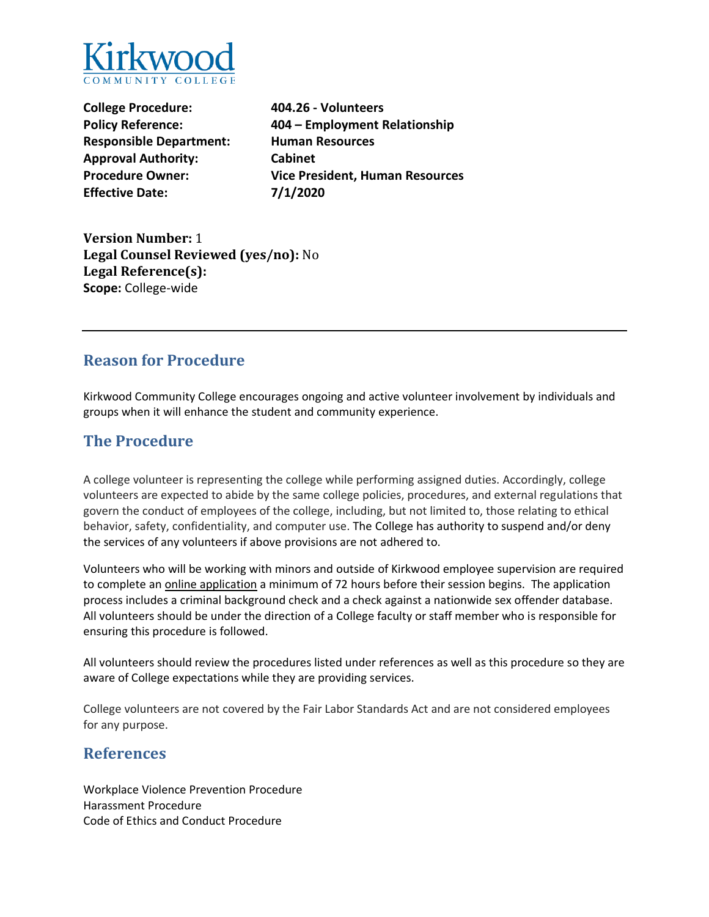

**College Procedure: Policy Reference: Responsible Department: Approval Authority: Procedure Owner: Effective Date:**

**404.26 - Volunteers 404 – Employment Relationship Human Resources Cabinet Vice President, Human Resources 7/1/2020**

**Version Number:** 1 **Legal Counsel Reviewed (yes/no):** No **Legal Reference(s): Scope:** College-wide

#### **Reason for Procedure**

Kirkwood Community College encourages ongoing and active volunteer involvement by individuals and groups when it will enhance the student and community experience.

### **The Procedure**

A college volunteer is representing the college while performing assigned duties. Accordingly, college volunteers are expected to abide by the same college policies, procedures, and external regulations that govern the conduct of employees of the college, including, but not limited to, those relating to ethical behavior, safety, confidentiality, and computer use. The College has authority to suspend and/or deny the services of any volunteers if above provisions are not adhered to.

Volunteers who will be working with minors and outside of Kirkwood employee supervision are required to complete an *online application* a minimum of 72 hours before their session begins. The application process includes a criminal background check and a check against a nationwide sex offender database. All volunteers should be under the direction of a College faculty or staff member who is responsible for ensuring this procedure is followed.

All volunteers should review the procedures listed under references as well as this procedure so they are aware of College expectations while they are providing services.

College volunteers are not covered by the Fair Labor Standards Act and are not considered employees for any purpose.

#### **References**

Workplace Violence Prevention Procedure Harassment Procedure Code of Ethics and Conduct Procedure